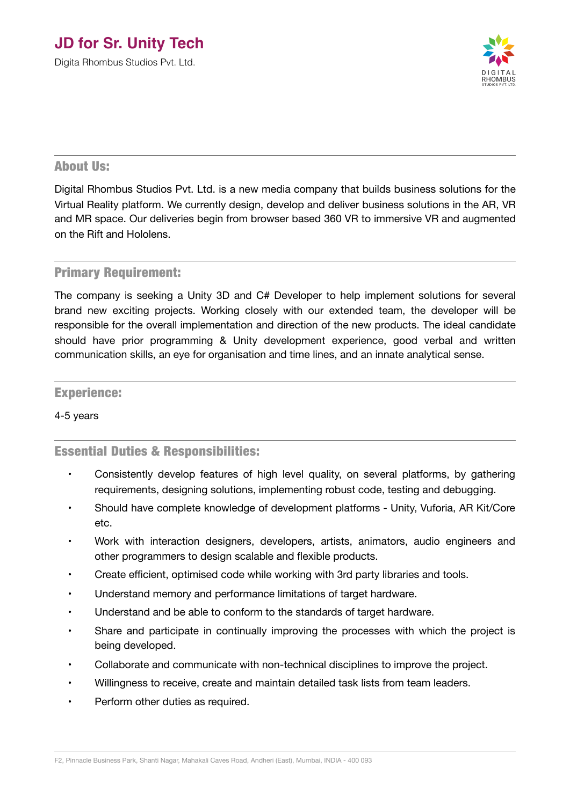## **JD for Sr. Unity Tech**

Digita Rhombus Studios Pvt. Ltd.



### About Us:

Digital Rhombus Studios Pvt. Ltd. is a new media company that builds business solutions for the Virtual Reality platform. We currently design, develop and deliver business solutions in the AR, VR and MR space. Our deliveries begin from browser based 360 VR to immersive VR and augmented on the Rift and Hololens.

### Primary Requirement:

The company is seeking a Unity 3D and C# Developer to help implement solutions for several brand new exciting projects. Working closely with our extended team, the developer will be responsible for the overall implementation and direction of the new products. The ideal candidate should have prior programming & Unity development experience, good verbal and written communication skills, an eye for organisation and time lines, and an innate analytical sense.

## Experience:

#### 4-5 years

## Essential Duties & Responsibilities:

- Consistently develop features of high level quality, on several platforms, by gathering requirements, designing solutions, implementing robust code, testing and debugging.
- Should have complete knowledge of development platforms Unity, Vuforia, AR Kit/Core etc.
- Work with interaction designers, developers, artists, animators, audio engineers and other programmers to design scalable and flexible products.
- Create efficient, optimised code while working with 3rd party libraries and tools.
- Understand memory and performance limitations of target hardware.
- Understand and be able to conform to the standards of target hardware.
- Share and participate in continually improving the processes with which the project is being developed.
- Collaborate and communicate with non-technical disciplines to improve the project.
- Willingness to receive, create and maintain detailed task lists from team leaders.
- Perform other duties as required.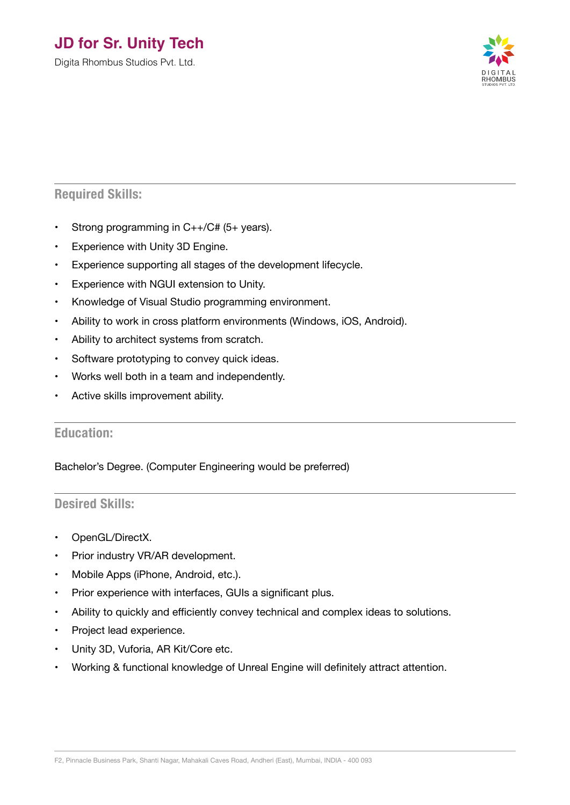## **JD for Sr. Unity Tech**

Digita Rhombus Studios Pvt. Ltd.



## **Required Skills:**

- Strong programming in C++/C# (5+ years).
- Experience with Unity 3D Engine.
- Experience supporting all stages of the development lifecycle.
- Experience with NGUI extension to Unity.
- Knowledge of Visual Studio programming environment.
- Ability to work in cross platform environments (Windows, iOS, Android).
- Ability to architect systems from scratch.
- Software prototyping to convey quick ideas.
- Works well both in a team and independently.
- Active skills improvement ability.

## **Education:**

## Bachelor's Degree. (Computer Engineering would be preferred)

## **Desired Skills:**

- OpenGL/DirectX.
- Prior industry VR/AR development.
- Mobile Apps (iPhone, Android, etc.).
- Prior experience with interfaces, GUIs a significant plus.
- Ability to quickly and efficiently convey technical and complex ideas to solutions.
- Project lead experience.
- Unity 3D, Vuforia, AR Kit/Core etc.
- Working & functional knowledge of Unreal Engine will definitely attract attention.